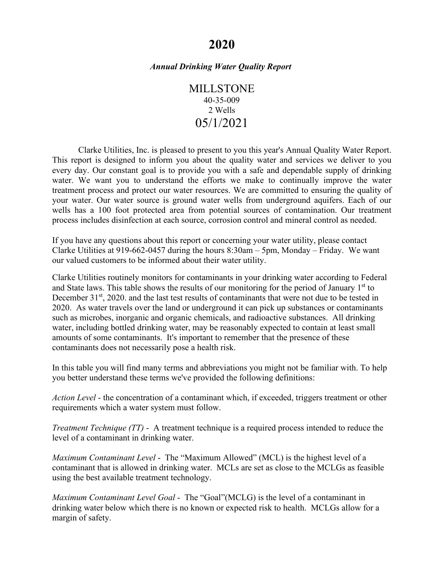# **2020**

## *Annual Drinking Water Quality Report*

MILLSTONE 40-35-009 2 Wells 05/1/2021

Clarke Utilities, Inc. is pleased to present to you this year's Annual Quality Water Report. This report is designed to inform you about the quality water and services we deliver to you every day. Our constant goal is to provide you with a safe and dependable supply of drinking water. We want you to understand the efforts we make to continually improve the water treatment process and protect our water resources. We are committed to ensuring the quality of your water. Our water source is ground water wells from underground aquifers. Each of our wells has a 100 foot protected area from potential sources of contamination. Our treatment process includes disinfection at each source, corrosion control and mineral control as needed.

If you have any questions about this report or concerning your water utility, please contact Clarke Utilities at 919-662-0457 during the hours 8:30am – 5pm, Monday – Friday. We want our valued customers to be informed about their water utility.

Clarke Utilities routinely monitors for contaminants in your drinking water according to Federal and State laws. This table shows the results of our monitoring for the period of January  $1<sup>st</sup>$  to December 31<sup>st</sup>, 2020. and the last test results of contaminants that were not due to be tested in 2020.As water travels over the land or underground it can pick up substances or contaminants such as microbes, inorganic and organic chemicals, and radioactive substances. All drinking water, including bottled drinking water, may be reasonably expected to contain at least small amounts of some contaminants. It's important to remember that the presence of these contaminants does not necessarily pose a health risk.

In this table you will find many terms and abbreviations you might not be familiar with. To help you better understand these terms we've provided the following definitions:

*Action Level* - the concentration of a contaminant which, if exceeded, triggers treatment or other requirements which a water system must follow.

*Treatment Technique (TT)* - A treatment technique is a required process intended to reduce the level of a contaminant in drinking water.

*Maximum Contaminant Level* - The "Maximum Allowed" (MCL) is the highest level of a contaminant that is allowed in drinking water. MCLs are set as close to the MCLGs as feasible using the best available treatment technology.

*Maximum Contaminant Level Goal* - The "Goal"(MCLG) is the level of a contaminant in drinking water below which there is no known or expected risk to health. MCLGs allow for a margin of safety.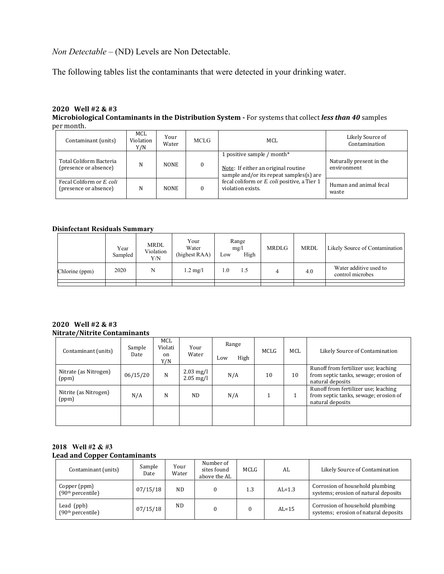*Non Detectable –* (ND) Levels are Non Detectable.

The following tables list the contaminants that were detected in your drinking water.

#### **2020 Well #2 & #3 Microbiological Contaminants in the Distribution System -** For systems that collect *less than 40* samples per month.

| Contaminant (units)                                | MCL<br>Violation<br>Y/N | Your<br>Water | MCLG     | MCL                                                                                                          | Likely Source of<br>Contamination       |
|----------------------------------------------------|-------------------------|---------------|----------|--------------------------------------------------------------------------------------------------------------|-----------------------------------------|
| Total Coliform Bacteria<br>(presence or absence)   | N                       | <b>NONE</b>   | $\Omega$ | 1 positive sample / month*<br>Note: If either an original routine<br>sample and/or its repeat samples(s) are | Naturally present in the<br>environment |
| Fecal Coliform or E. coli<br>(presence or absence) | N                       | <b>NONE</b>   |          | fecal coliform or E. coli positive, a Tier 1<br>violation exists.                                            | Human and animal fecal<br>waste         |

### **Disinfectant Residuals Summary**

|                | Year<br>Sampled | <b>MRDL</b><br>Violation<br>Y/N | Your<br>Water<br>(highest RAA) | Range<br>mg/l<br>High<br>Low | MRDLG | <b>MRDL</b> | Likely Source of Contamination             |
|----------------|-----------------|---------------------------------|--------------------------------|------------------------------|-------|-------------|--------------------------------------------|
| Chlorine (ppm) | 2020            | N                               | $1.2 \text{ mg/l}$             | 1.0<br>1.5                   |       | 4.0         | Water additive used to<br>control microbes |
|                |                 |                                 |                                |                              |       |             |                                            |

### **2020 Well #2 & #3 Nitrate/Nitrite Contaminants**

| Contaminant (units)            | Sample<br>Date | MCL<br>Violati<br><sub>on</sub><br>Y/N | Your<br>Water                                 | Range<br>High<br>Low | MCLG | MCL | Likely Source of Contamination                                                                    |
|--------------------------------|----------------|----------------------------------------|-----------------------------------------------|----------------------|------|-----|---------------------------------------------------------------------------------------------------|
| Nitrate (as Nitrogen)<br>(ppm) | 06/15/20       | N                                      | $2.03 \text{ mg/l}$<br>$2.05 \,\mathrm{mg/l}$ | N/A                  | 10   | 10  | Runoff from fertilizer use; leaching<br>from septic tanks, sewage; erosion of<br>natural deposits |
| Nitrite (as Nitrogen)<br>(ppm) | N/A            | N                                      | ND.                                           | N/A                  |      |     | Runoff from fertilizer use; leaching<br>from septic tanks, sewage; erosion of<br>natural deposits |
|                                |                |                                        |                                               |                      |      |     |                                                                                                   |

### **2018 Well #2 & #3 Lead and Copper Contaminants**

| Contaminant (units)                           | Sample<br>Date | Your<br>Water | Number of<br>sites found<br>above the AL | <b>MCLG</b> | AL         | Likely Source of Contamination                                          |
|-----------------------------------------------|----------------|---------------|------------------------------------------|-------------|------------|-------------------------------------------------------------------------|
| Copper (ppm)<br>(90 <sup>th</sup> percentile) | 07/15/18       | ND.           |                                          | 1.3         | $AI = 1.3$ | Corrosion of household plumbing<br>systems; erosion of natural deposits |
| Lead (ppb)<br>(90 <sup>th</sup> percentile)   | 07/15/18       | ND            |                                          |             | $AI = 15$  | Corrosion of household plumbing<br>systems; erosion of natural deposits |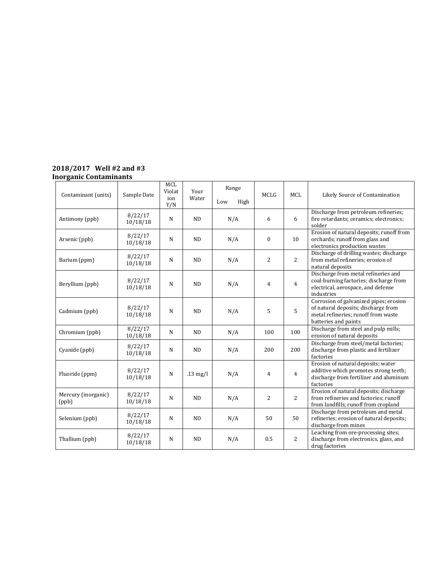#### **2018/2017 Well #2 and #3 Inorganic Contaminants**

| Contaminant (units)          | Sample Date         | <b>MCL</b><br>Violat<br>ion<br>Y/N | Your<br>Water | Range<br>Low<br>High | <b>MCLG</b>    | <b>MCL</b>     | Likely Source of Contamination                                                                                                               |
|------------------------------|---------------------|------------------------------------|---------------|----------------------|----------------|----------------|----------------------------------------------------------------------------------------------------------------------------------------------|
| Antimony (ppb)               | 8/22/17<br>10/18/18 | N                                  | ND            | N/A                  | 6              | 6              | Discharge from petroleum refineries;<br>fire retardants; ceramics; electronics;<br>solder                                                    |
| Arsenic (ppb)                | 8/22/17<br>10/18/18 | N                                  | <b>ND</b>     | N/A                  | $\Omega$       | 10             | Erosion of natural deposits; runoff from<br>orchards; runoff from glass and<br>electronics production wastes                                 |
| Barium (ppm)                 | 8/22/17<br>10/18/18 | N                                  | ND            | N/A                  | 2              | $\overline{2}$ | Discharge of drilling wastes; discharge<br>from metal refineries; erosion of<br>natural deposits                                             |
| Beryllium (ppb)              | 8/22/17<br>10/18/18 | N                                  | ND            | N/A                  | $\overline{4}$ | $\overline{4}$ | Discharge from metal refineries and<br>coal-burning factories; discharge from<br>electrical, aerospace, and defense<br>industries            |
| Cadmium (ppb)                | 8/22/17<br>10/18/18 | N                                  | <b>ND</b>     | N/A                  | 5              | 5              | Corrosion of galvanized pipes; erosion<br>of natural deposits; discharge from<br>metal refineries: runoff from waste<br>batteries and paints |
| Chromium (ppb)               | 8/22/17<br>10/18/18 | N                                  | ND            | N/A                  | 100            | 100            | Discharge from steel and pulp mills;<br>erosion of natural deposits                                                                          |
| Cyanide (ppb)                | 8/22/17<br>10/18/18 | N                                  | <b>ND</b>     | N/A                  | 200            | 200            | Discharge from steel/metal factories;<br>discharge from plastic and fertilizer<br>factories                                                  |
| Fluoride (ppm)               | 8/22/17<br>10/18/18 | N                                  | $.13$ mg/l    | N/A                  | $\overline{4}$ | $\overline{4}$ | Erosion of natural deposits; water<br>additive which promotes strong teeth;<br>discharge from fertilizer and aluminum<br>factories           |
| Mercury (inorganic)<br>(ppb) | 8/22/17<br>10/18/18 | N                                  | ND            | N/A                  | 2              | $\overline{2}$ | Erosion of natural deposits; discharge<br>from refineries and factories; runoff<br>from landfills; runoff from cropland                      |
| Selenium (ppb)               | 8/22/17<br>10/18/18 | N                                  | ND            | N/A                  | 50             | 50             | Discharge from petroleum and metal<br>refineries; erosion of natural deposits;<br>discharge from mines                                       |
| Thallium (ppb)               | 8/22/17<br>10/18/18 | N                                  | ND            | N/A                  | 0.5            | $\overline{c}$ | Leaching from ore-processing sites;<br>discharge from electronics, glass, and<br>drug factories                                              |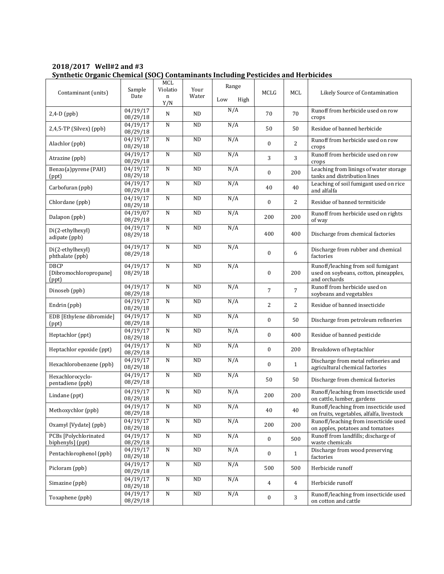| 2018/2017 Well#2 and #3 |                                                                                   |
|-------------------------|-----------------------------------------------------------------------------------|
|                         | Synthetic Organic Chemical (SOC) Contaminants Including Pesticides and Herbicides |

| Contaminant (units)                            | Sample<br>Date                 | MCL<br>Violatio<br>n<br>Y/N | Your<br>Water | Range<br>Low<br>High | MCLG             | MCL            | Likely Source of Contamination                                                              |
|------------------------------------------------|--------------------------------|-----------------------------|---------------|----------------------|------------------|----------------|---------------------------------------------------------------------------------------------|
| $2,4-D$ (ppb)                                  | 04/19/17<br>08/29/18           | N                           | <b>ND</b>     | N/A                  | 70               | 70             | Runoff from herbicide used on row<br>crops                                                  |
| $2,4,5$ -TP (Silvex) (ppb)                     | 04/19/17<br>08/29/18           | N                           | <b>ND</b>     | N/A                  | 50               | 50             | Residue of banned herbicide                                                                 |
| Alachlor (ppb)                                 | 04/19/17<br>08/29/18           | $\mathbf N$                 | <b>ND</b>     | N/A                  | $\mathbf{0}$     | $\overline{c}$ | Runoff from herbicide used on row<br>crops                                                  |
| Atrazine (ppb)                                 | 04/19/17<br>08/29/18           | ${\bf N}$                   | <b>ND</b>     | N/A                  | 3                | 3              | Runoff from herbicide used on row<br>crops                                                  |
| Benzo(a)pyrene (PAH)<br>(ppt)                  | 04/19/17<br>08/29/18           | N                           | <b>ND</b>     | N/A                  | $\mathbf{0}$     | 200            | Leaching from linings of water storage<br>tanks and distribution lines                      |
| Carbofuran (ppb)                               | 04/19/17<br>08/29/18           | $\mathbf N$                 | <b>ND</b>     | N/A                  | 40               | 40             | Leaching of soil fumigant used on rice<br>and alfalfa                                       |
| Chlordane (ppb)                                | 04/19/17<br>08/29/18           | N                           | <b>ND</b>     | N/A                  | $\mathbf{0}$     | 2              | Residue of banned termiticide                                                               |
| Dalapon (ppb)                                  | 04/19/07<br>08/29/18           | ${\bf N}$                   | <b>ND</b>     | N/A                  | 200              | 200            | Runoff from herbicide used on rights<br>of way                                              |
| Di(2-ethylhexyl)<br>adipate (ppb)              | 04/19/17<br>08/29/18           | ${\bf N}$                   | <b>ND</b>     | N/A                  | 400              | 400            | Discharge from chemical factories                                                           |
| Di(2-ethylhexyl)<br>phthalate (ppb)            | 04/19/17<br>08/29/18           | N                           | <b>ND</b>     | N/A                  | $\boldsymbol{0}$ | 6              | Discharge from rubber and chemical<br>factories                                             |
| <b>DBCP</b><br>[Dibromochloropropane]<br>(ppt) | 04/19/17<br>08/29/18           | $\mathbf N$                 | <b>ND</b>     | N/A                  | $\mathbf{0}$     | 200            | Runoff/leaching from soil fumigant<br>used on soybeans, cotton, pineapples,<br>and orchards |
| Dinoseb (ppb)                                  | 04/19/17<br>08/29/18           | N                           | <b>ND</b>     | N/A                  | $\overline{7}$   | $\overline{7}$ | Runoff from herbicide used on<br>soybeans and vegetables                                    |
| Endrin (ppb)                                   | 04/19/17<br>08/29/18           | N                           | <b>ND</b>     | N/A                  | $\overline{2}$   | 2              | Residue of banned insecticide                                                               |
| EDB [Ethylene dibromide]<br>(ppt)              | 04/19/17<br>08/29/18           | N                           | <b>ND</b>     | N/A                  | $\boldsymbol{0}$ | 50             | Discharge from petroleum refineries                                                         |
| Heptachlor (ppt)                               | 04/19/17<br>08/29/18           | $\mathbf N$                 | <b>ND</b>     | N/A                  | $\boldsymbol{0}$ | 400            | Residue of banned pesticide                                                                 |
| Heptachlor epoxide (ppt)                       | 04/19/17<br>08/29/18           | ${\bf N}$                   | <b>ND</b>     | N/A                  | $\boldsymbol{0}$ | 200            | Breakdown of heptachlor                                                                     |
| Hexachlorobenzene (ppb)                        | 04/19/17<br>08/29/18           | N                           | <b>ND</b>     | N/A                  | $\mathbf{0}$     | $\mathbf{1}$   | Discharge from metal refineries and<br>agricultural chemical factories                      |
| Hexachlorocyclo-<br>pentadiene (ppb)           | 04/19/17<br>08/29/18           | N                           | <b>ND</b>     | N/A                  | 50               | 50             | Discharge from chemical factories                                                           |
| Lindane (ppt)                                  | 04/19/17<br>08/29/18           | N                           | <b>ND</b>     | N/A                  | 200              | 200            | Runoff/leaching from insecticide used<br>on cattle, lumber, gardens                         |
| Methoxychlor (ppb)                             | 04/19/17<br>08/29/18           | $\overline{\text{N}}$       | $\rm ND$      | N/A                  | $40\,$           | 40             | Runoff/leaching from insecticide used<br>on fruits, vegetables, alfalfa, livestock          |
| Oxamyl [Vydate] (ppb)                          | 04/19/17<br>08/29/18           | ${\bf N}$                   | $\rm ND$      | N/A                  | 200              | 200            | Runoff/leaching from insecticide used<br>on apples, potatoes and tomatoes                   |
| PCBs [Polychlorinated<br>biphenyls] (ppt)      | 04/19/17<br>08/29/18           | ${\bf N}$                   | ND            | N/A                  | $\boldsymbol{0}$ | 500            | Runoff from landfills; discharge of<br>waste chemicals                                      |
| Pentachlorophenol (ppb)                        | $\frac{04}{19}$ 17<br>08/29/18 | ${\bf N}$                   | $\rm ND$      | N/A                  | $\boldsymbol{0}$ | $\mathbf{1}$   | Discharge from wood preserving<br>factories                                                 |
| Picloram (ppb)                                 | 04/19/17<br>08/29/18           | N                           | <b>ND</b>     | N/A                  | 500              | 500            | Herbicide runoff                                                                            |
| Simazine (ppb)                                 | 04/19/17<br>08/29/18           | $\overline{\text{N}}$       | $\rm ND$      | N/A                  | $\overline{4}$   | $\overline{4}$ | Herbicide runoff                                                                            |
| Toxaphene (ppb)                                | 04/19/17<br>08/29/18           | ${\bf N}$                   | ND            | N/A                  | $\boldsymbol{0}$ | 3              | Runoff/leaching from insecticide used<br>on cotton and cattle                               |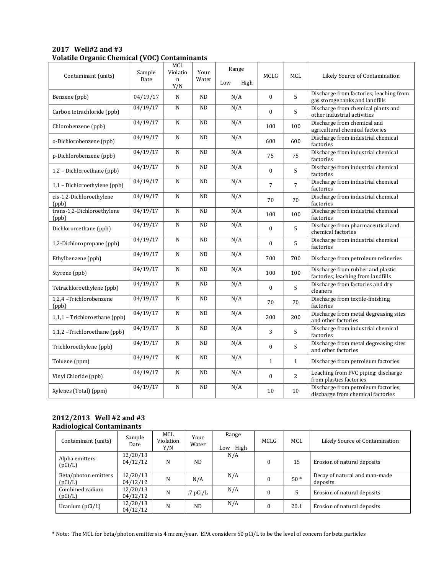| $2017$ Well#2 and #3                                |  |
|-----------------------------------------------------|--|
| <b>Volatile Organic Chemical (VOC) Contaminants</b> |  |

| Contaminant (units)                 | Sample<br>Date | MCL<br>Violatio<br>$\mathbf n$<br>Y/N | Your<br>Water | Range<br>Low<br>High | <b>MCLG</b>      | <b>MCL</b>     | Likely Source of Contamination                                             |
|-------------------------------------|----------------|---------------------------------------|---------------|----------------------|------------------|----------------|----------------------------------------------------------------------------|
| Benzene (ppb)                       | 04/19/17       | N                                     | <b>ND</b>     | N/A                  | $\mathbf{0}$     | 5              | Discharge from factories; leaching from<br>gas storage tanks and landfills |
| Carbon tetrachloride (ppb)          | 04/19/17       | N                                     | ND            | N/A                  | $\theta$         | 5              | Discharge from chemical plants and<br>other industrial activities          |
| Chlorobenzene (ppb)                 | 04/19/17       | ${\bf N}$                             | <b>ND</b>     | N/A                  | 100              | 100            | Discharge from chemical and<br>agricultural chemical factories             |
| o-Dichlorobenzene (ppb)             | 04/19/17       | $\mathbf N$                           | ND            | N/A                  | 600              | 600            | Discharge from industrial chemical<br>factories                            |
| p-Dichlorobenzene (ppb)             | 04/19/17       | N                                     | <b>ND</b>     | N/A                  | 75               | 75             | Discharge from industrial chemical<br>factories                            |
| 1,2 - Dichloroethane (ppb)          | 04/19/17       | ${\bf N}$                             | <b>ND</b>     | N/A                  | $\mathbf{0}$     | 5              | Discharge from industrial chemical<br>factories                            |
| 1,1 - Dichloroethylene (ppb)        | 04/19/17       | ${\bf N}$                             | ND            | N/A                  | $\overline{7}$   | $\overline{7}$ | Discharge from industrial chemical<br>factories                            |
| cis-1,2-Dichloroethylene<br>(ppb)   | 04/19/17       | N                                     | <b>ND</b>     | N/A                  | 70               | 70             | Discharge from industrial chemical<br>factories                            |
| trans-1,2-Dichloroethylene<br>(ppb) | 04/19/17       | $\mathbf N$                           | ND            | N/A                  | 100              | 100            | Discharge from industrial chemical<br>factories                            |
| Dichloromethane (ppb)               | 04/19/17       | ${\bf N}$                             | $\rm ND$      | N/A                  | $\mathbf{0}$     | 5              | Discharge from pharmaceutical and<br>chemical factories                    |
| 1,2-Dichloropropane (ppb)           | 04/19/17       | N                                     | <b>ND</b>     | N/A                  | $\mathbf{0}$     | 5              | Discharge from industrial chemical<br>factories                            |
| Ethylbenzene (ppb)                  | 04/19/17       | ${\bf N}$                             | ND            | N/A                  | 700              | 700            | Discharge from petroleum refineries                                        |
| Styrene (ppb)                       | 04/19/17       | ${\bf N}$                             | $\rm ND$      | N/A                  | 100              | 100            | Discharge from rubber and plastic<br>factories; leaching from landfills    |
| Tetrachloroethylene (ppb)           | 04/19/17       | N                                     | <b>ND</b>     | N/A                  | $\mathbf{0}$     | 5              | Discharge from factories and dry<br>cleaners                               |
| 1,2,4 -Trichlorobenzene<br>(ppb)    | 04/19/17       | N                                     | <b>ND</b>     | N/A                  | 70               | 70             | Discharge from textile-finishing<br>factories                              |
| 1,1,1 - Trichloroethane (ppb)       | 04/19/17       | $\mathbf N$                           | <b>ND</b>     | N/A                  | 200              | 200            | Discharge from metal degreasing sites<br>and other factories               |
| 1,1,2 -Trichloroethane (ppb)        | 04/19/17       | ${\bf N}$                             | <b>ND</b>     | N/A                  | 3                | 5              | Discharge from industrial chemical<br>factories                            |
| Trichloroethylene (ppb)             | 04/19/17       | $\mathbf N$                           | <b>ND</b>     | N/A                  | $\boldsymbol{0}$ | 5              | Discharge from metal degreasing sites<br>and other factories               |
| Toluene (ppm)                       | 04/19/17       | ${\bf N}$                             | ND            | N/A                  | $\mathbf{1}$     | $\mathbf{1}$   | Discharge from petroleum factories                                         |
| Vinyl Chloride (ppb)                | 04/19/17       | ${\bf N}$                             | ND            | N/A                  | $\mathbf{0}$     | 2              | Leaching from PVC piping; discharge<br>from plastics factories             |
| Xylenes (Total) (ppm)               | 04/19/17       | N                                     | <b>ND</b>     | N/A                  | 10               | 10             | Discharge from petroleum factories;<br>discharge from chemical factories   |

### **2012/2013 Well #2 and #3 Radiological Contaminants**

| Contaminant (units)             | Sample<br><b>Date</b> | MCL<br>Violation<br>Y/N | Your<br>Water  | Range<br>High<br>Low | MCLG     | MCL   | Likely Source of Contamination            |
|---------------------------------|-----------------------|-------------------------|----------------|----------------------|----------|-------|-------------------------------------------|
| Alpha emitters<br>(pCi/L)       | 12/20/13<br>04/12/12  | N                       | ND.            | N/A                  |          | 15    | Erosion of natural deposits               |
| Beta/photon emitters<br>(pCi/L) | 12/20/13<br>04/12/12  | N                       | N/A            | N/A                  |          | $50*$ | Decay of natural and man-made<br>deposits |
| Combined radium<br>(pCi/L)      | 12/20/13<br>04/12/12  | N                       | .7 $pCi/L$     | N/A                  |          | 5     | Erosion of natural deposits               |
| Uranium $(pCi/L)$               | 12/20/13<br>04/12/12  | N                       | N <sub>D</sub> | N/A                  | $\theta$ | 20.1  | Erosion of natural deposits               |

\* Note: The MCL for beta/photon emitters is 4 mrem/year. EPA considers 50 pCi/L to be the level of concern for beta particles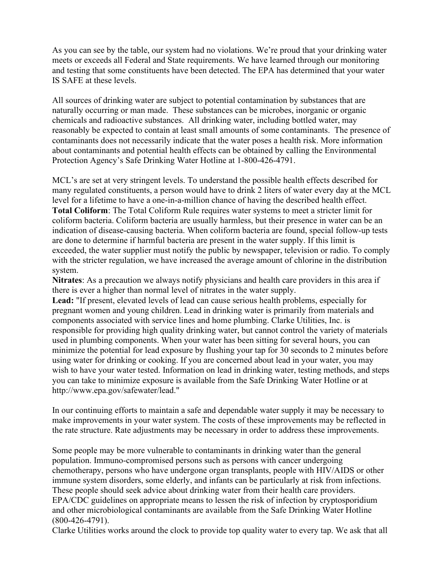As you can see by the table, our system had no violations. We're proud that your drinking water meets or exceeds all Federal and State requirements. We have learned through our monitoring and testing that some constituents have been detected. The EPA has determined that your water IS SAFE at these levels.

All sources of drinking water are subject to potential contamination by substances that are naturally occurring or man made. These substances can be microbes, inorganic or organic chemicals and radioactive substances. All drinking water, including bottled water, may reasonably be expected to contain at least small amounts of some contaminants. The presence of contaminants does not necessarily indicate that the water poses a health risk. More information about contaminants and potential health effects can be obtained by calling the Environmental Protection Agency's Safe Drinking Water Hotline at 1-800-426-4791.

MCL's are set at very stringent levels. To understand the possible health effects described for many regulated constituents, a person would have to drink 2 liters of water every day at the MCL level for a lifetime to have a one-in-a-million chance of having the described health effect. **Total Coliform**: The Total Coliform Rule requires water systems to meet a stricter limit for coliform bacteria. Coliform bacteria are usually harmless, but their presence in water can be an indication of disease-causing bacteria. When coliform bacteria are found, special follow-up tests are done to determine if harmful bacteria are present in the water supply. If this limit is exceeded, the water supplier must notify the public by newspaper, television or radio. To comply with the stricter regulation, we have increased the average amount of chlorine in the distribution system.

**Nitrates**: As a precaution we always notify physicians and health care providers in this area if there is ever a higher than normal level of nitrates in the water supply.

**Lead:** "If present, elevated levels of lead can cause serious health problems, especially for pregnant women and young children. Lead in drinking water is primarily from materials and components associated with service lines and home plumbing. Clarke Utilities, Inc. is responsible for providing high quality drinking water, but cannot control the variety of materials used in plumbing components. When your water has been sitting for several hours, you can minimize the potential for lead exposure by flushing your tap for 30 seconds to 2 minutes before using water for drinking or cooking. If you are concerned about lead in your water, you may wish to have your water tested. Information on lead in drinking water, testing methods, and steps you can take to minimize exposure is available from the Safe Drinking Water Hotline or at http://www.epa.gov/safewater/lead."

In our continuing efforts to maintain a safe and dependable water supply it may be necessary to make improvements in your water system. The costs of these improvements may be reflected in the rate structure. Rate adjustments may be necessary in order to address these improvements.

Some people may be more vulnerable to contaminants in drinking water than the general population. Immuno-compromised persons such as persons with cancer undergoing chemotherapy, persons who have undergone organ transplants, people with HIV/AIDS or other immune system disorders, some elderly, and infants can be particularly at risk from infections. These people should seek advice about drinking water from their health care providers. EPA/CDC guidelines on appropriate means to lessen the risk of infection by cryptosporidium and other microbiological contaminants are available from the Safe Drinking Water Hotline (800-426-4791).

Clarke Utilities works around the clock to provide top quality water to every tap. We ask that all